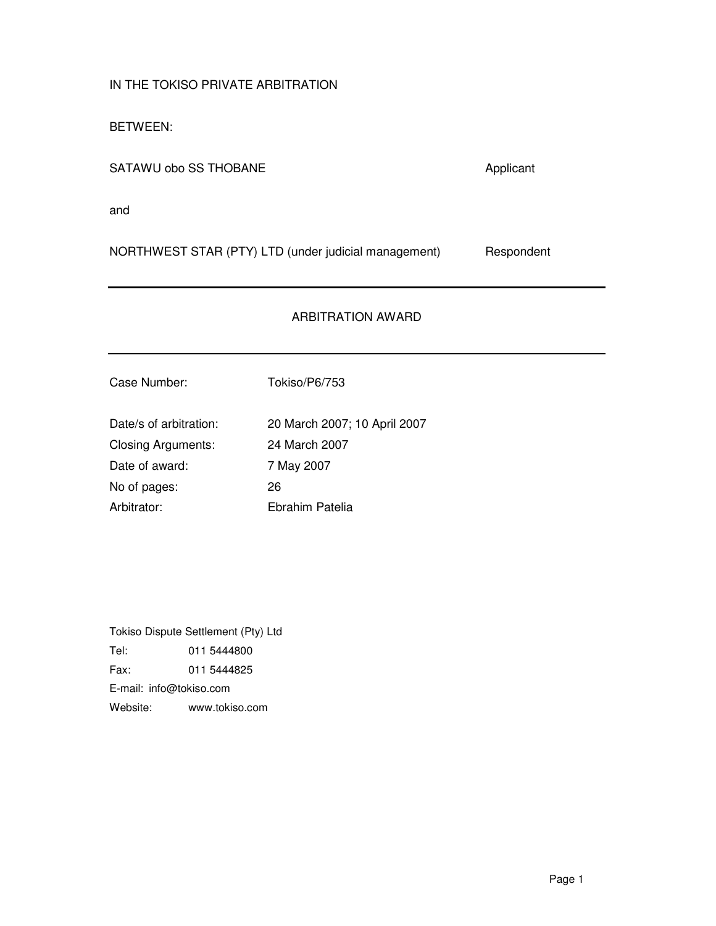IN THE TOKISO PRIVATE ARBITRATION

BETWEEN:

SATAWU obo SS THOBANE Applicant

and

NORTHWEST STAR (PTY) LTD (under judicial management) Respondent

# ARBITRATION AWARD

Case Number: Tokiso/P6/753

Date/s of arbitration: 20 March 2007; 10 April 2007 Closing Arguments: 24 March 2007 Date of award: 7 May 2007 No of pages: 26 Arbitrator: Ebrahim Patelia

Tokiso Dispute Settlement (Pty) Ltd Tel: 011 5444800 Fax: 011 5444825 E-mail: info@tokiso.com Website: www.tokiso.com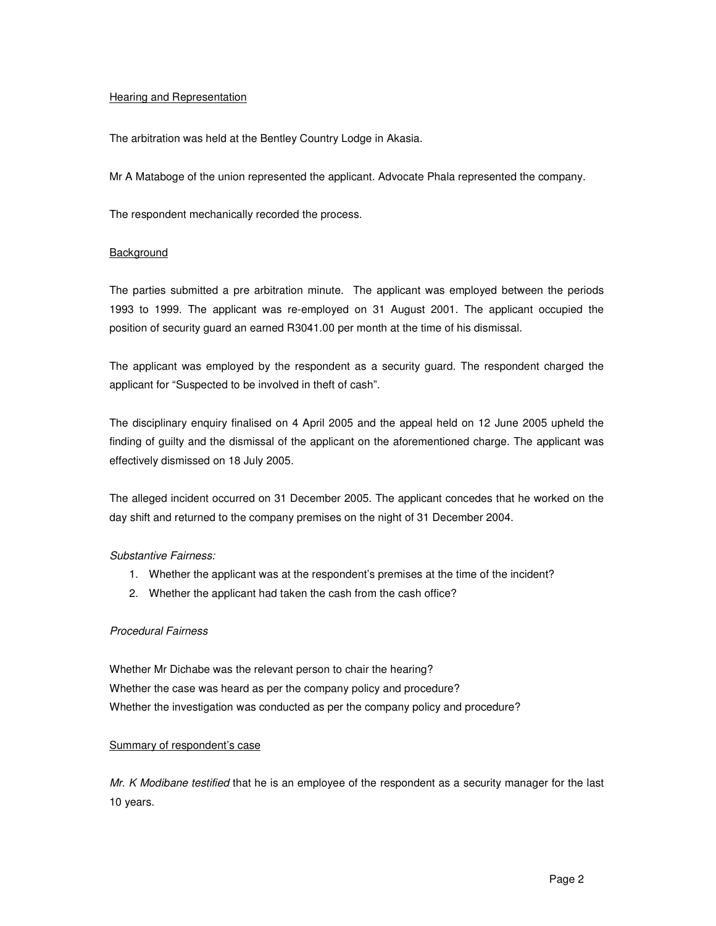## Hearing and Representation

The arbitration was held at the Bentley Country Lodge in Akasia.

Mr A Mataboge of the union represented the applicant. Advocate Phala represented the company.

The respondent mechanically recorded the process.

## **Background**

The parties submitted a pre arbitration minute. The applicant was employed between the periods 1993 to 1999. The applicant was re-employed on 31 August 2001. The applicant occupied the position of security guard an earned R3041.00 per month at the time of his dismissal.

The applicant was employed by the respondent as a security guard. The respondent charged the applicant for "Suspected to be involved in theft of cash".

The disciplinary enquiry finalised on 4 April 2005 and the appeal held on 12 June 2005 upheld the finding of guilty and the dismissal of the applicant on the aforementioned charge. The applicant was effectively dismissed on 18 July 2005.

The alleged incident occurred on 31 December 2005. The applicant concedes that he worked on the day shift and returned to the company premises on the night of 31 December 2004.

## Substantive Fairness:

- 1. Whether the applicant was at the respondent's premises at the time of the incident?
- 2. Whether the applicant had taken the cash from the cash office?

## Procedural Fairness

Whether Mr Dichabe was the relevant person to chair the hearing? Whether the case was heard as per the company policy and procedure? Whether the investigation was conducted as per the company policy and procedure?

## Summary of respondent's case

Mr. K Modibane testified that he is an employee of the respondent as a security manager for the last 10 years.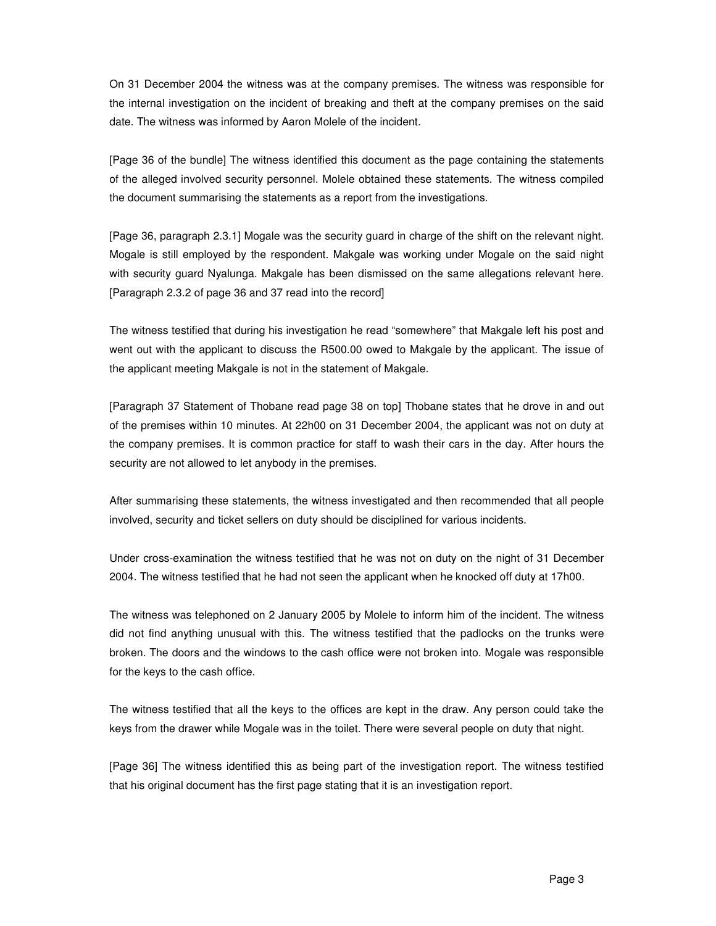On 31 December 2004 the witness was at the company premises. The witness was responsible for the internal investigation on the incident of breaking and theft at the company premises on the said date. The witness was informed by Aaron Molele of the incident.

[Page 36 of the bundle] The witness identified this document as the page containing the statements of the alleged involved security personnel. Molele obtained these statements. The witness compiled the document summarising the statements as a report from the investigations.

[Page 36, paragraph 2.3.1] Mogale was the security guard in charge of the shift on the relevant night. Mogale is still employed by the respondent. Makgale was working under Mogale on the said night with security guard Nyalunga. Makgale has been dismissed on the same allegations relevant here. [Paragraph 2.3.2 of page 36 and 37 read into the record]

The witness testified that during his investigation he read "somewhere" that Makgale left his post and went out with the applicant to discuss the R500.00 owed to Makgale by the applicant. The issue of the applicant meeting Makgale is not in the statement of Makgale.

[Paragraph 37 Statement of Thobane read page 38 on top] Thobane states that he drove in and out of the premises within 10 minutes. At 22h00 on 31 December 2004, the applicant was not on duty at the company premises. It is common practice for staff to wash their cars in the day. After hours the security are not allowed to let anybody in the premises.

After summarising these statements, the witness investigated and then recommended that all people involved, security and ticket sellers on duty should be disciplined for various incidents.

Under cross-examination the witness testified that he was not on duty on the night of 31 December 2004. The witness testified that he had not seen the applicant when he knocked off duty at 17h00.

The witness was telephoned on 2 January 2005 by Molele to inform him of the incident. The witness did not find anything unusual with this. The witness testified that the padlocks on the trunks were broken. The doors and the windows to the cash office were not broken into. Mogale was responsible for the keys to the cash office.

The witness testified that all the keys to the offices are kept in the draw. Any person could take the keys from the drawer while Mogale was in the toilet. There were several people on duty that night.

[Page 36] The witness identified this as being part of the investigation report. The witness testified that his original document has the first page stating that it is an investigation report.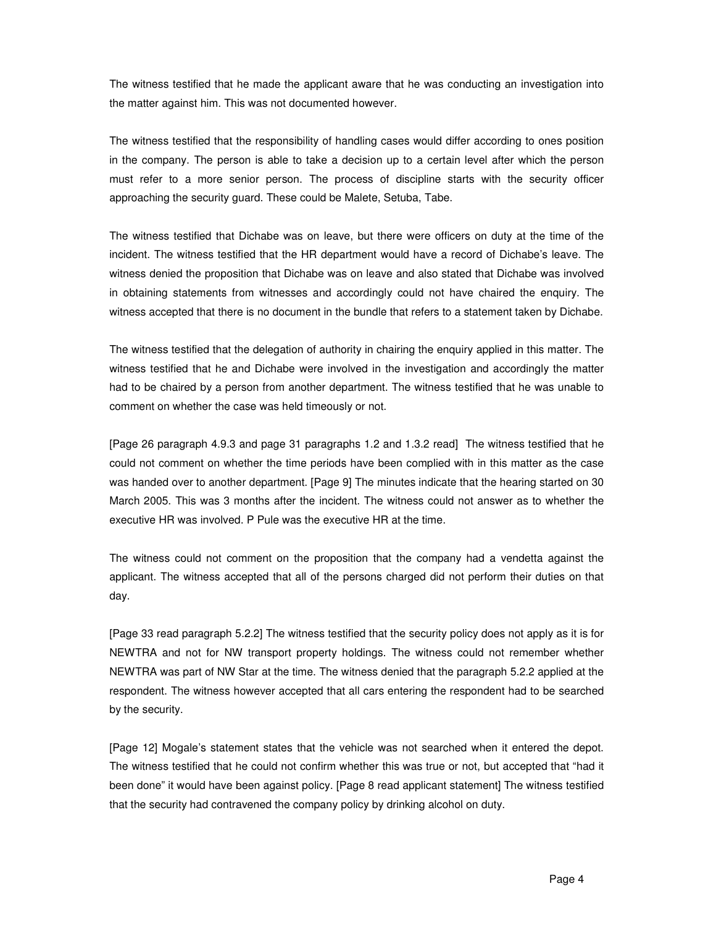The witness testified that he made the applicant aware that he was conducting an investigation into the matter against him. This was not documented however.

The witness testified that the responsibility of handling cases would differ according to ones position in the company. The person is able to take a decision up to a certain level after which the person must refer to a more senior person. The process of discipline starts with the security officer approaching the security guard. These could be Malete, Setuba, Tabe.

The witness testified that Dichabe was on leave, but there were officers on duty at the time of the incident. The witness testified that the HR department would have a record of Dichabe's leave. The witness denied the proposition that Dichabe was on leave and also stated that Dichabe was involved in obtaining statements from witnesses and accordingly could not have chaired the enquiry. The witness accepted that there is no document in the bundle that refers to a statement taken by Dichabe.

The witness testified that the delegation of authority in chairing the enquiry applied in this matter. The witness testified that he and Dichabe were involved in the investigation and accordingly the matter had to be chaired by a person from another department. The witness testified that he was unable to comment on whether the case was held timeously or not.

[Page 26 paragraph 4.9.3 and page 31 paragraphs 1.2 and 1.3.2 read] The witness testified that he could not comment on whether the time periods have been complied with in this matter as the case was handed over to another department. [Page 9] The minutes indicate that the hearing started on 30 March 2005. This was 3 months after the incident. The witness could not answer as to whether the executive HR was involved. P Pule was the executive HR at the time.

The witness could not comment on the proposition that the company had a vendetta against the applicant. The witness accepted that all of the persons charged did not perform their duties on that day.

[Page 33 read paragraph 5.2.2] The witness testified that the security policy does not apply as it is for NEWTRA and not for NW transport property holdings. The witness could not remember whether NEWTRA was part of NW Star at the time. The witness denied that the paragraph 5.2.2 applied at the respondent. The witness however accepted that all cars entering the respondent had to be searched by the security.

[Page 12] Mogale's statement states that the vehicle was not searched when it entered the depot. The witness testified that he could not confirm whether this was true or not, but accepted that "had it been done" it would have been against policy. [Page 8 read applicant statement] The witness testified that the security had contravened the company policy by drinking alcohol on duty.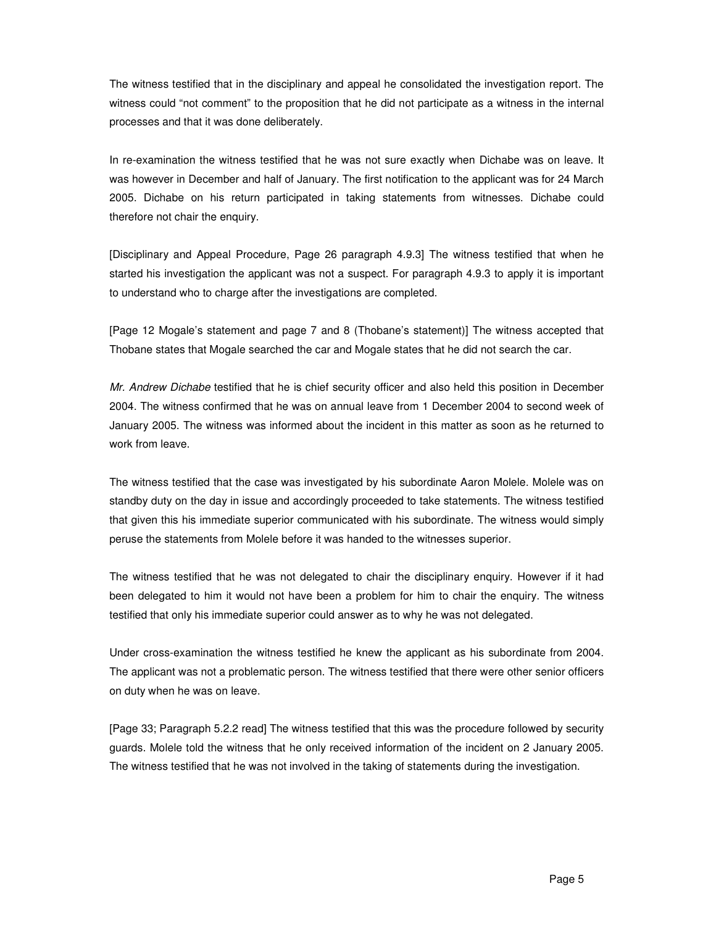The witness testified that in the disciplinary and appeal he consolidated the investigation report. The witness could "not comment" to the proposition that he did not participate as a witness in the internal processes and that it was done deliberately.

In re-examination the witness testified that he was not sure exactly when Dichabe was on leave. It was however in December and half of January. The first notification to the applicant was for 24 March 2005. Dichabe on his return participated in taking statements from witnesses. Dichabe could therefore not chair the enquiry.

[Disciplinary and Appeal Procedure, Page 26 paragraph 4.9.3] The witness testified that when he started his investigation the applicant was not a suspect. For paragraph 4.9.3 to apply it is important to understand who to charge after the investigations are completed.

[Page 12 Mogale's statement and page 7 and 8 (Thobane's statement)] The witness accepted that Thobane states that Mogale searched the car and Mogale states that he did not search the car.

Mr. Andrew Dichabe testified that he is chief security officer and also held this position in December 2004. The witness confirmed that he was on annual leave from 1 December 2004 to second week of January 2005. The witness was informed about the incident in this matter as soon as he returned to work from leave.

The witness testified that the case was investigated by his subordinate Aaron Molele. Molele was on standby duty on the day in issue and accordingly proceeded to take statements. The witness testified that given this his immediate superior communicated with his subordinate. The witness would simply peruse the statements from Molele before it was handed to the witnesses superior.

The witness testified that he was not delegated to chair the disciplinary enquiry. However if it had been delegated to him it would not have been a problem for him to chair the enquiry. The witness testified that only his immediate superior could answer as to why he was not delegated.

Under cross-examination the witness testified he knew the applicant as his subordinate from 2004. The applicant was not a problematic person. The witness testified that there were other senior officers on duty when he was on leave.

[Page 33; Paragraph 5.2.2 read] The witness testified that this was the procedure followed by security guards. Molele told the witness that he only received information of the incident on 2 January 2005. The witness testified that he was not involved in the taking of statements during the investigation.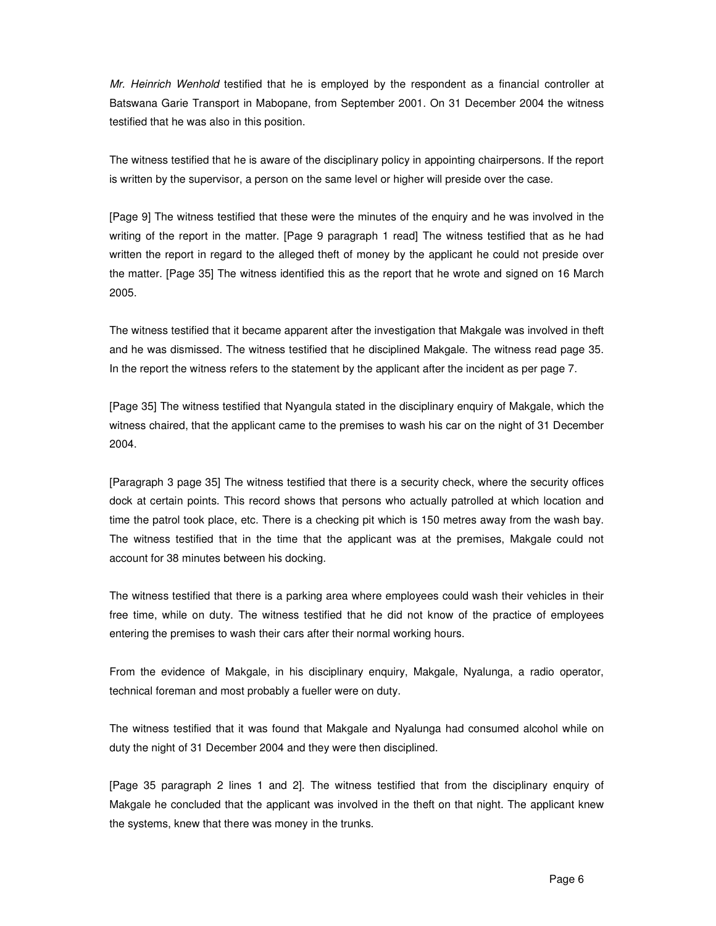Mr. Heinrich Wenhold testified that he is employed by the respondent as a financial controller at Batswana Garie Transport in Mabopane, from September 2001. On 31 December 2004 the witness testified that he was also in this position.

The witness testified that he is aware of the disciplinary policy in appointing chairpersons. If the report is written by the supervisor, a person on the same level or higher will preside over the case.

[Page 9] The witness testified that these were the minutes of the enquiry and he was involved in the writing of the report in the matter. [Page 9 paragraph 1 read] The witness testified that as he had written the report in regard to the alleged theft of money by the applicant he could not preside over the matter. [Page 35] The witness identified this as the report that he wrote and signed on 16 March 2005.

The witness testified that it became apparent after the investigation that Makgale was involved in theft and he was dismissed. The witness testified that he disciplined Makgale. The witness read page 35. In the report the witness refers to the statement by the applicant after the incident as per page 7.

[Page 35] The witness testified that Nyangula stated in the disciplinary enquiry of Makgale, which the witness chaired, that the applicant came to the premises to wash his car on the night of 31 December 2004.

[Paragraph 3 page 35] The witness testified that there is a security check, where the security offices dock at certain points. This record shows that persons who actually patrolled at which location and time the patrol took place, etc. There is a checking pit which is 150 metres away from the wash bay. The witness testified that in the time that the applicant was at the premises, Makgale could not account for 38 minutes between his docking.

The witness testified that there is a parking area where employees could wash their vehicles in their free time, while on duty. The witness testified that he did not know of the practice of employees entering the premises to wash their cars after their normal working hours.

From the evidence of Makgale, in his disciplinary enquiry, Makgale, Nyalunga, a radio operator, technical foreman and most probably a fueller were on duty.

The witness testified that it was found that Makgale and Nyalunga had consumed alcohol while on duty the night of 31 December 2004 and they were then disciplined.

[Page 35 paragraph 2 lines 1 and 2]. The witness testified that from the disciplinary enquiry of Makgale he concluded that the applicant was involved in the theft on that night. The applicant knew the systems, knew that there was money in the trunks.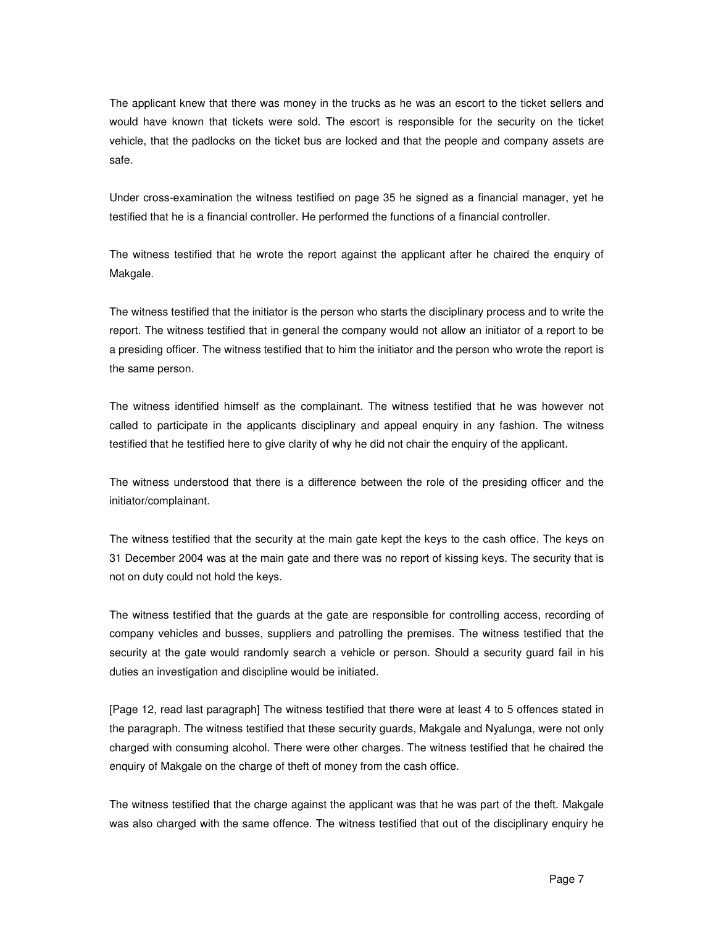The applicant knew that there was money in the trucks as he was an escort to the ticket sellers and would have known that tickets were sold. The escort is responsible for the security on the ticket vehicle, that the padlocks on the ticket bus are locked and that the people and company assets are safe.

Under cross-examination the witness testified on page 35 he signed as a financial manager, yet he testified that he is a financial controller. He performed the functions of a financial controller.

The witness testified that he wrote the report against the applicant after he chaired the enquiry of Makgale.

The witness testified that the initiator is the person who starts the disciplinary process and to write the report. The witness testified that in general the company would not allow an initiator of a report to be a presiding officer. The witness testified that to him the initiator and the person who wrote the report is the same person.

The witness identified himself as the complainant. The witness testified that he was however not called to participate in the applicants disciplinary and appeal enquiry in any fashion. The witness testified that he testified here to give clarity of why he did not chair the enquiry of the applicant.

The witness understood that there is a difference between the role of the presiding officer and the initiator/complainant.

The witness testified that the security at the main gate kept the keys to the cash office. The keys on 31 December 2004 was at the main gate and there was no report of kissing keys. The security that is not on duty could not hold the keys.

The witness testified that the guards at the gate are responsible for controlling access, recording of company vehicles and busses, suppliers and patrolling the premises. The witness testified that the security at the gate would randomly search a vehicle or person. Should a security guard fail in his duties an investigation and discipline would be initiated.

[Page 12, read last paragraph] The witness testified that there were at least 4 to 5 offences stated in the paragraph. The witness testified that these security guards, Makgale and Nyalunga, were not only charged with consuming alcohol. There were other charges. The witness testified that he chaired the enquiry of Makgale on the charge of theft of money from the cash office.

The witness testified that the charge against the applicant was that he was part of the theft. Makgale was also charged with the same offence. The witness testified that out of the disciplinary enquiry he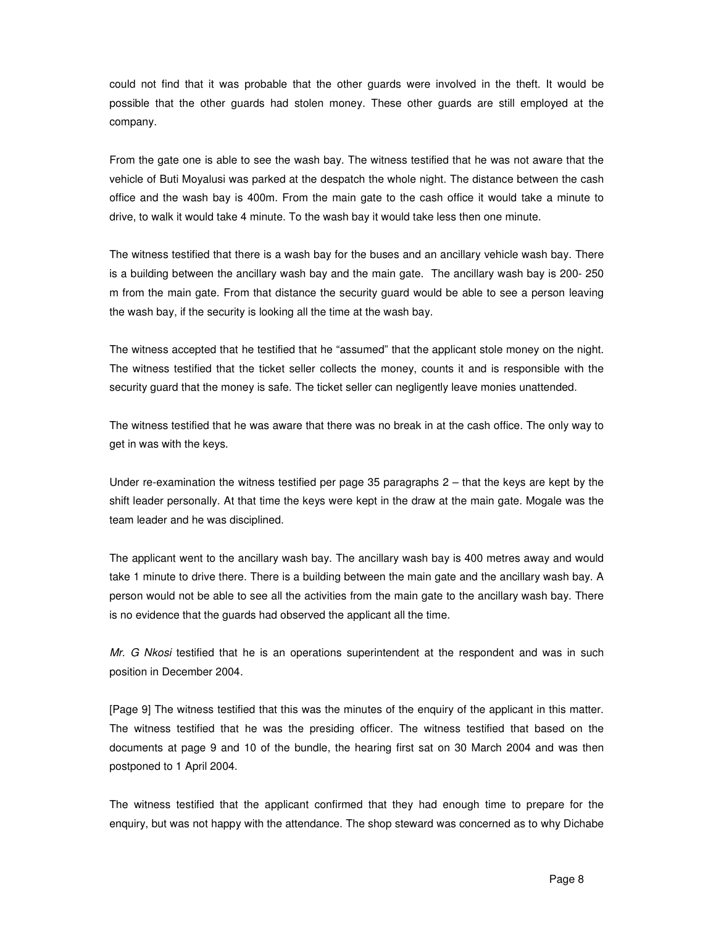could not find that it was probable that the other guards were involved in the theft. It would be possible that the other guards had stolen money. These other guards are still employed at the company.

From the gate one is able to see the wash bay. The witness testified that he was not aware that the vehicle of Buti Moyalusi was parked at the despatch the whole night. The distance between the cash office and the wash bay is 400m. From the main gate to the cash office it would take a minute to drive, to walk it would take 4 minute. To the wash bay it would take less then one minute.

The witness testified that there is a wash bay for the buses and an ancillary vehicle wash bay. There is a building between the ancillary wash bay and the main gate. The ancillary wash bay is 200- 250 m from the main gate. From that distance the security guard would be able to see a person leaving the wash bay, if the security is looking all the time at the wash bay.

The witness accepted that he testified that he "assumed" that the applicant stole money on the night. The witness testified that the ticket seller collects the money, counts it and is responsible with the security guard that the money is safe. The ticket seller can negligently leave monies unattended.

The witness testified that he was aware that there was no break in at the cash office. The only way to get in was with the keys.

Under re-examination the witness testified per page 35 paragraphs 2 – that the keys are kept by the shift leader personally. At that time the keys were kept in the draw at the main gate. Mogale was the team leader and he was disciplined.

The applicant went to the ancillary wash bay. The ancillary wash bay is 400 metres away and would take 1 minute to drive there. There is a building between the main gate and the ancillary wash bay. A person would not be able to see all the activities from the main gate to the ancillary wash bay. There is no evidence that the guards had observed the applicant all the time.

Mr. G Nkosi testified that he is an operations superintendent at the respondent and was in such position in December 2004.

[Page 9] The witness testified that this was the minutes of the enquiry of the applicant in this matter. The witness testified that he was the presiding officer. The witness testified that based on the documents at page 9 and 10 of the bundle, the hearing first sat on 30 March 2004 and was then postponed to 1 April 2004.

The witness testified that the applicant confirmed that they had enough time to prepare for the enquiry, but was not happy with the attendance. The shop steward was concerned as to why Dichabe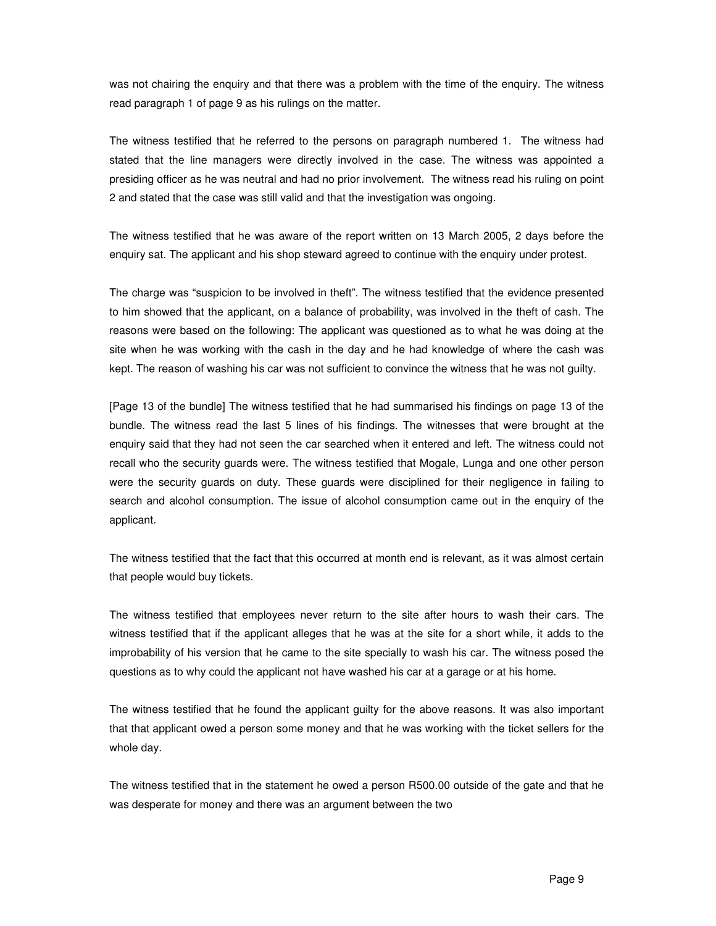was not chairing the enquiry and that there was a problem with the time of the enquiry. The witness read paragraph 1 of page 9 as his rulings on the matter.

The witness testified that he referred to the persons on paragraph numbered 1. The witness had stated that the line managers were directly involved in the case. The witness was appointed a presiding officer as he was neutral and had no prior involvement. The witness read his ruling on point 2 and stated that the case was still valid and that the investigation was ongoing.

The witness testified that he was aware of the report written on 13 March 2005, 2 days before the enquiry sat. The applicant and his shop steward agreed to continue with the enquiry under protest.

The charge was "suspicion to be involved in theft". The witness testified that the evidence presented to him showed that the applicant, on a balance of probability, was involved in the theft of cash. The reasons were based on the following: The applicant was questioned as to what he was doing at the site when he was working with the cash in the day and he had knowledge of where the cash was kept. The reason of washing his car was not sufficient to convince the witness that he was not guilty.

[Page 13 of the bundle] The witness testified that he had summarised his findings on page 13 of the bundle. The witness read the last 5 lines of his findings. The witnesses that were brought at the enquiry said that they had not seen the car searched when it entered and left. The witness could not recall who the security guards were. The witness testified that Mogale, Lunga and one other person were the security guards on duty. These guards were disciplined for their negligence in failing to search and alcohol consumption. The issue of alcohol consumption came out in the enquiry of the applicant.

The witness testified that the fact that this occurred at month end is relevant, as it was almost certain that people would buy tickets.

The witness testified that employees never return to the site after hours to wash their cars. The witness testified that if the applicant alleges that he was at the site for a short while, it adds to the improbability of his version that he came to the site specially to wash his car. The witness posed the questions as to why could the applicant not have washed his car at a garage or at his home.

The witness testified that he found the applicant guilty for the above reasons. It was also important that that applicant owed a person some money and that he was working with the ticket sellers for the whole day.

The witness testified that in the statement he owed a person R500.00 outside of the gate and that he was desperate for money and there was an argument between the two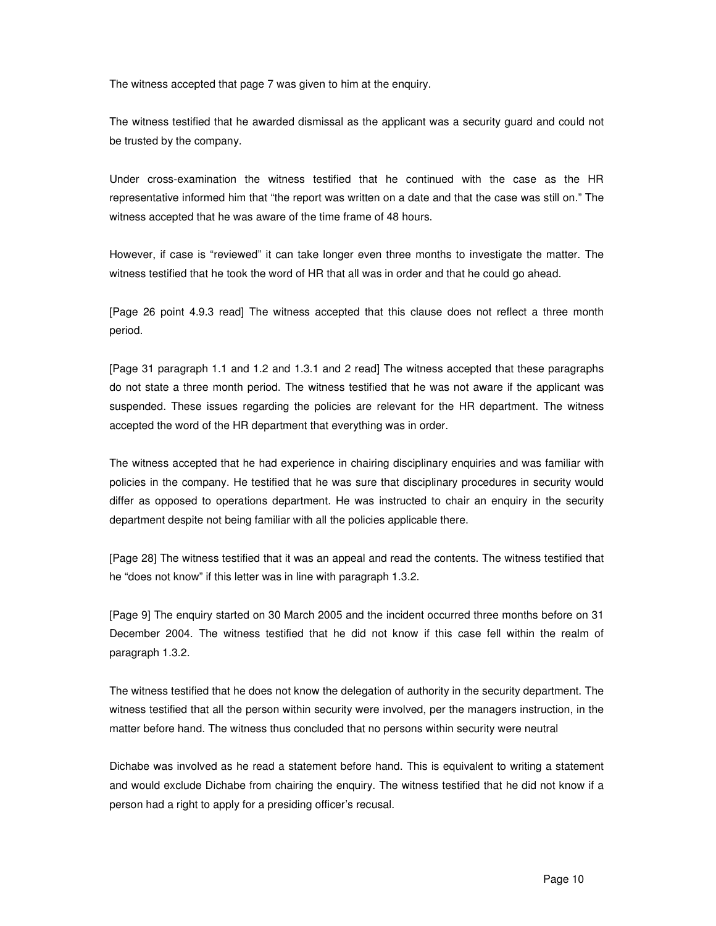The witness accepted that page 7 was given to him at the enquiry.

The witness testified that he awarded dismissal as the applicant was a security guard and could not be trusted by the company.

Under cross-examination the witness testified that he continued with the case as the HR representative informed him that "the report was written on a date and that the case was still on." The witness accepted that he was aware of the time frame of 48 hours.

However, if case is "reviewed" it can take longer even three months to investigate the matter. The witness testified that he took the word of HR that all was in order and that he could go ahead.

[Page 26 point 4.9.3 read] The witness accepted that this clause does not reflect a three month period.

[Page 31 paragraph 1.1 and 1.2 and 1.3.1 and 2 read] The witness accepted that these paragraphs do not state a three month period. The witness testified that he was not aware if the applicant was suspended. These issues regarding the policies are relevant for the HR department. The witness accepted the word of the HR department that everything was in order.

The witness accepted that he had experience in chairing disciplinary enquiries and was familiar with policies in the company. He testified that he was sure that disciplinary procedures in security would differ as opposed to operations department. He was instructed to chair an enquiry in the security department despite not being familiar with all the policies applicable there.

[Page 28] The witness testified that it was an appeal and read the contents. The witness testified that he "does not know" if this letter was in line with paragraph 1.3.2.

[Page 9] The enquiry started on 30 March 2005 and the incident occurred three months before on 31 December 2004. The witness testified that he did not know if this case fell within the realm of paragraph 1.3.2.

The witness testified that he does not know the delegation of authority in the security department. The witness testified that all the person within security were involved, per the managers instruction, in the matter before hand. The witness thus concluded that no persons within security were neutral

Dichabe was involved as he read a statement before hand. This is equivalent to writing a statement and would exclude Dichabe from chairing the enquiry. The witness testified that he did not know if a person had a right to apply for a presiding officer's recusal.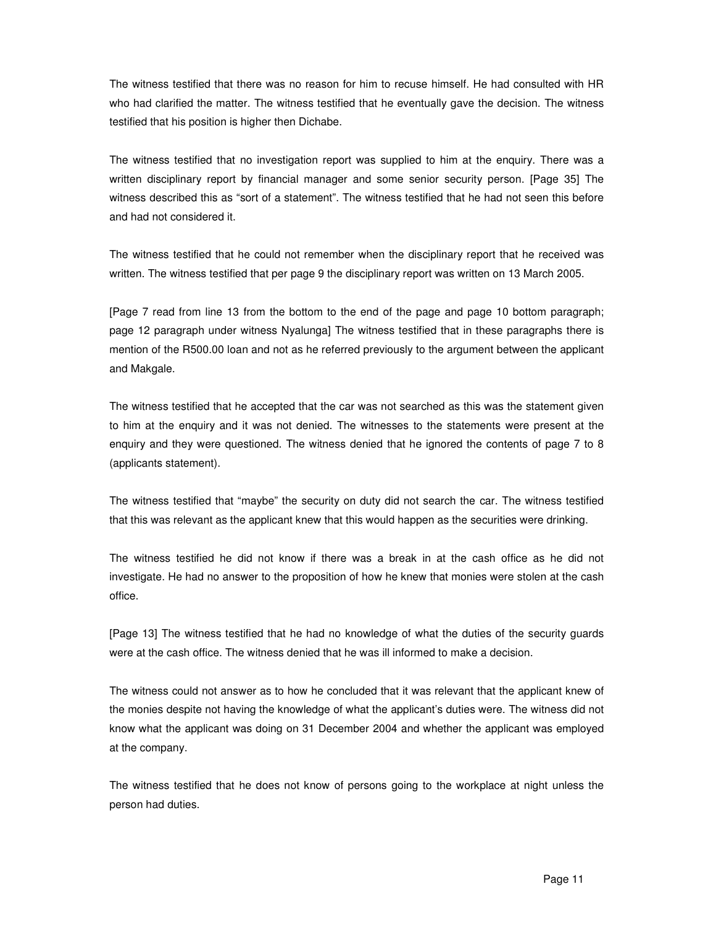The witness testified that there was no reason for him to recuse himself. He had consulted with HR who had clarified the matter. The witness testified that he eventually gave the decision. The witness testified that his position is higher then Dichabe.

The witness testified that no investigation report was supplied to him at the enquiry. There was a written disciplinary report by financial manager and some senior security person. [Page 35] The witness described this as "sort of a statement". The witness testified that he had not seen this before and had not considered it.

The witness testified that he could not remember when the disciplinary report that he received was written. The witness testified that per page 9 the disciplinary report was written on 13 March 2005.

[Page 7 read from line 13 from the bottom to the end of the page and page 10 bottom paragraph; page 12 paragraph under witness Nyalunga] The witness testified that in these paragraphs there is mention of the R500.00 loan and not as he referred previously to the argument between the applicant and Makgale.

The witness testified that he accepted that the car was not searched as this was the statement given to him at the enquiry and it was not denied. The witnesses to the statements were present at the enquiry and they were questioned. The witness denied that he ignored the contents of page 7 to 8 (applicants statement).

The witness testified that "maybe" the security on duty did not search the car. The witness testified that this was relevant as the applicant knew that this would happen as the securities were drinking.

The witness testified he did not know if there was a break in at the cash office as he did not investigate. He had no answer to the proposition of how he knew that monies were stolen at the cash office.

[Page 13] The witness testified that he had no knowledge of what the duties of the security guards were at the cash office. The witness denied that he was ill informed to make a decision.

The witness could not answer as to how he concluded that it was relevant that the applicant knew of the monies despite not having the knowledge of what the applicant's duties were. The witness did not know what the applicant was doing on 31 December 2004 and whether the applicant was employed at the company.

The witness testified that he does not know of persons going to the workplace at night unless the person had duties.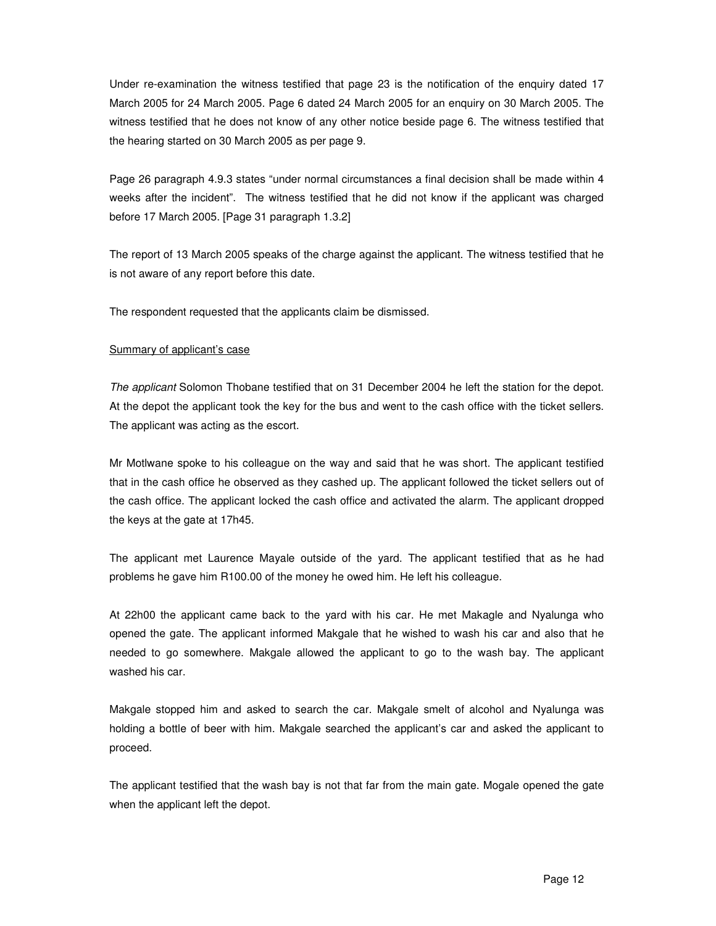Under re-examination the witness testified that page 23 is the notification of the enquiry dated 17 March 2005 for 24 March 2005. Page 6 dated 24 March 2005 for an enquiry on 30 March 2005. The witness testified that he does not know of any other notice beside page 6. The witness testified that the hearing started on 30 March 2005 as per page 9.

Page 26 paragraph 4.9.3 states "under normal circumstances a final decision shall be made within 4 weeks after the incident". The witness testified that he did not know if the applicant was charged before 17 March 2005. [Page 31 paragraph 1.3.2]

The report of 13 March 2005 speaks of the charge against the applicant. The witness testified that he is not aware of any report before this date.

The respondent requested that the applicants claim be dismissed.

#### Summary of applicant's case

The applicant Solomon Thobane testified that on 31 December 2004 he left the station for the depot. At the depot the applicant took the key for the bus and went to the cash office with the ticket sellers. The applicant was acting as the escort.

Mr Motlwane spoke to his colleague on the way and said that he was short. The applicant testified that in the cash office he observed as they cashed up. The applicant followed the ticket sellers out of the cash office. The applicant locked the cash office and activated the alarm. The applicant dropped the keys at the gate at 17h45.

The applicant met Laurence Mayale outside of the yard. The applicant testified that as he had problems he gave him R100.00 of the money he owed him. He left his colleague.

At 22h00 the applicant came back to the yard with his car. He met Makagle and Nyalunga who opened the gate. The applicant informed Makgale that he wished to wash his car and also that he needed to go somewhere. Makgale allowed the applicant to go to the wash bay. The applicant washed his car.

Makgale stopped him and asked to search the car. Makgale smelt of alcohol and Nyalunga was holding a bottle of beer with him. Makgale searched the applicant's car and asked the applicant to proceed.

The applicant testified that the wash bay is not that far from the main gate. Mogale opened the gate when the applicant left the depot.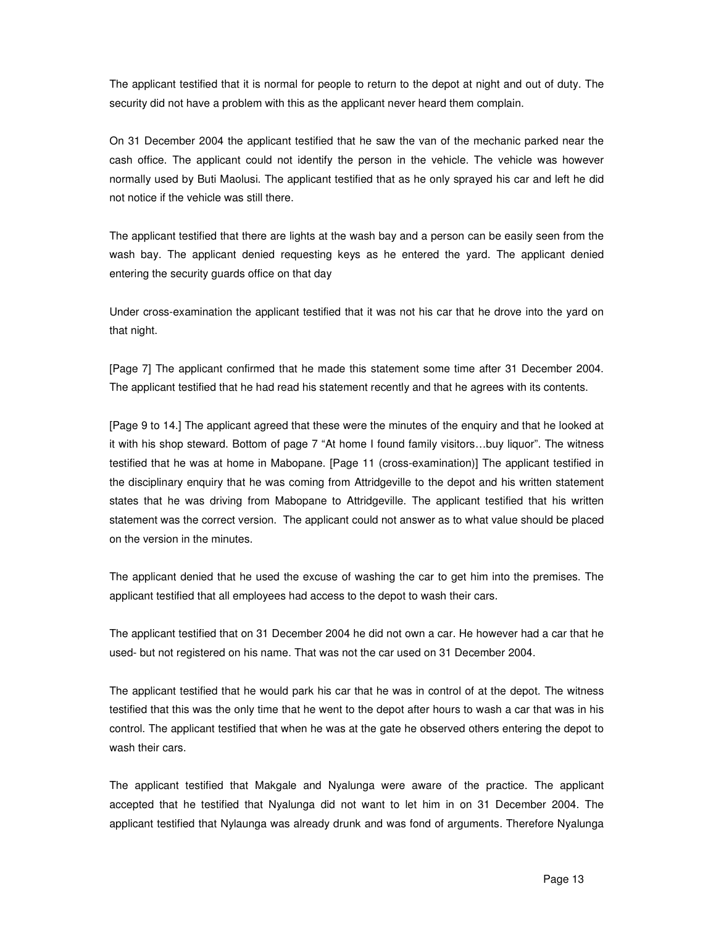The applicant testified that it is normal for people to return to the depot at night and out of duty. The security did not have a problem with this as the applicant never heard them complain.

On 31 December 2004 the applicant testified that he saw the van of the mechanic parked near the cash office. The applicant could not identify the person in the vehicle. The vehicle was however normally used by Buti Maolusi. The applicant testified that as he only sprayed his car and left he did not notice if the vehicle was still there.

The applicant testified that there are lights at the wash bay and a person can be easily seen from the wash bay. The applicant denied requesting keys as he entered the yard. The applicant denied entering the security guards office on that day

Under cross-examination the applicant testified that it was not his car that he drove into the yard on that night.

[Page 7] The applicant confirmed that he made this statement some time after 31 December 2004. The applicant testified that he had read his statement recently and that he agrees with its contents.

[Page 9 to 14.] The applicant agreed that these were the minutes of the enquiry and that he looked at it with his shop steward. Bottom of page 7 "At home I found family visitors…buy liquor". The witness testified that he was at home in Mabopane. [Page 11 (cross-examination)] The applicant testified in the disciplinary enquiry that he was coming from Attridgeville to the depot and his written statement states that he was driving from Mabopane to Attridgeville. The applicant testified that his written statement was the correct version. The applicant could not answer as to what value should be placed on the version in the minutes.

The applicant denied that he used the excuse of washing the car to get him into the premises. The applicant testified that all employees had access to the depot to wash their cars.

The applicant testified that on 31 December 2004 he did not own a car. He however had a car that he used- but not registered on his name. That was not the car used on 31 December 2004.

The applicant testified that he would park his car that he was in control of at the depot. The witness testified that this was the only time that he went to the depot after hours to wash a car that was in his control. The applicant testified that when he was at the gate he observed others entering the depot to wash their cars.

The applicant testified that Makgale and Nyalunga were aware of the practice. The applicant accepted that he testified that Nyalunga did not want to let him in on 31 December 2004. The applicant testified that Nylaunga was already drunk and was fond of arguments. Therefore Nyalunga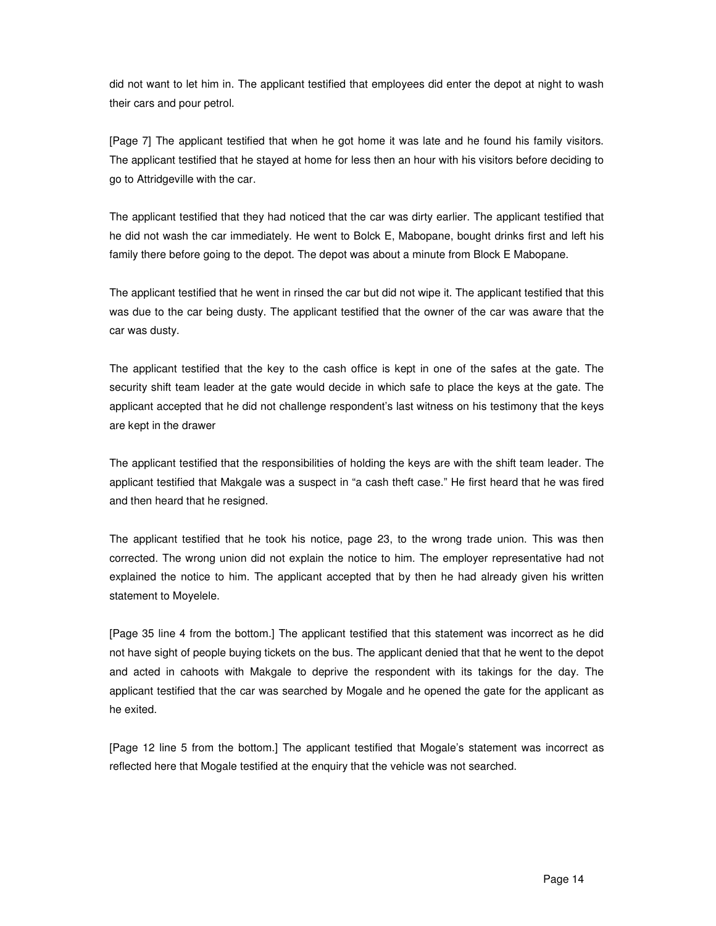did not want to let him in. The applicant testified that employees did enter the depot at night to wash their cars and pour petrol.

[Page 7] The applicant testified that when he got home it was late and he found his family visitors. The applicant testified that he stayed at home for less then an hour with his visitors before deciding to go to Attridgeville with the car.

The applicant testified that they had noticed that the car was dirty earlier. The applicant testified that he did not wash the car immediately. He went to Bolck E, Mabopane, bought drinks first and left his family there before going to the depot. The depot was about a minute from Block E Mabopane.

The applicant testified that he went in rinsed the car but did not wipe it. The applicant testified that this was due to the car being dusty. The applicant testified that the owner of the car was aware that the car was dusty.

The applicant testified that the key to the cash office is kept in one of the safes at the gate. The security shift team leader at the gate would decide in which safe to place the keys at the gate. The applicant accepted that he did not challenge respondent's last witness on his testimony that the keys are kept in the drawer

The applicant testified that the responsibilities of holding the keys are with the shift team leader. The applicant testified that Makgale was a suspect in "a cash theft case." He first heard that he was fired and then heard that he resigned.

The applicant testified that he took his notice, page 23, to the wrong trade union. This was then corrected. The wrong union did not explain the notice to him. The employer representative had not explained the notice to him. The applicant accepted that by then he had already given his written statement to Moyelele.

[Page 35 line 4 from the bottom.] The applicant testified that this statement was incorrect as he did not have sight of people buying tickets on the bus. The applicant denied that that he went to the depot and acted in cahoots with Makgale to deprive the respondent with its takings for the day. The applicant testified that the car was searched by Mogale and he opened the gate for the applicant as he exited.

[Page 12 line 5 from the bottom.] The applicant testified that Mogale's statement was incorrect as reflected here that Mogale testified at the enquiry that the vehicle was not searched.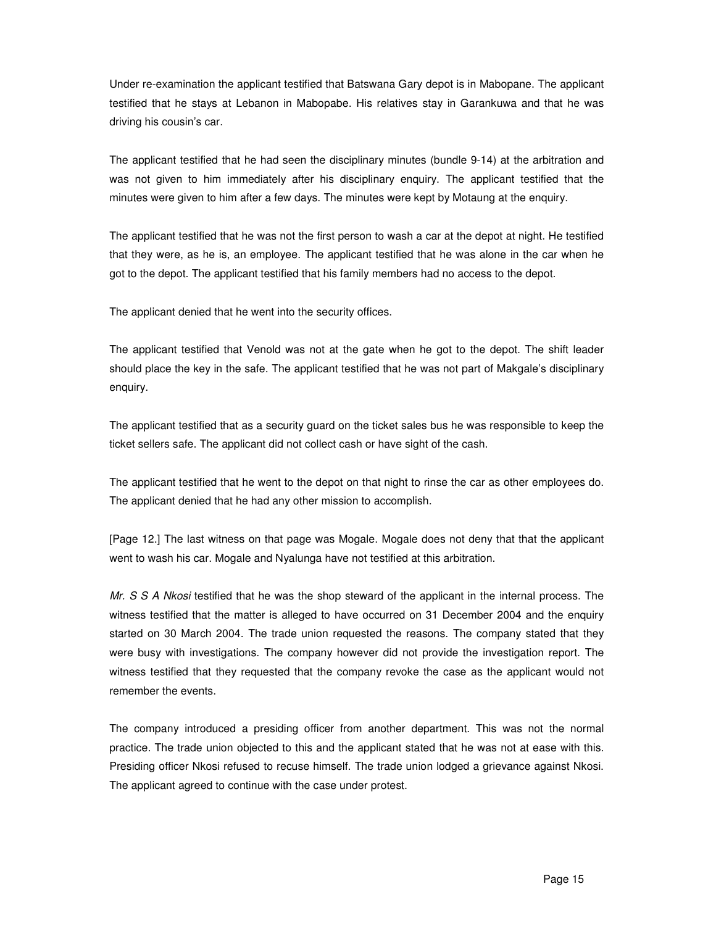Under re-examination the applicant testified that Batswana Gary depot is in Mabopane. The applicant testified that he stays at Lebanon in Mabopabe. His relatives stay in Garankuwa and that he was driving his cousin's car.

The applicant testified that he had seen the disciplinary minutes (bundle 9-14) at the arbitration and was not given to him immediately after his disciplinary enquiry. The applicant testified that the minutes were given to him after a few days. The minutes were kept by Motaung at the enquiry.

The applicant testified that he was not the first person to wash a car at the depot at night. He testified that they were, as he is, an employee. The applicant testified that he was alone in the car when he got to the depot. The applicant testified that his family members had no access to the depot.

The applicant denied that he went into the security offices.

The applicant testified that Venold was not at the gate when he got to the depot. The shift leader should place the key in the safe. The applicant testified that he was not part of Makgale's disciplinary enquiry.

The applicant testified that as a security guard on the ticket sales bus he was responsible to keep the ticket sellers safe. The applicant did not collect cash or have sight of the cash.

The applicant testified that he went to the depot on that night to rinse the car as other employees do. The applicant denied that he had any other mission to accomplish.

[Page 12.] The last witness on that page was Mogale. Mogale does not deny that that the applicant went to wash his car. Mogale and Nyalunga have not testified at this arbitration.

Mr. S S A Nkosi testified that he was the shop steward of the applicant in the internal process. The witness testified that the matter is alleged to have occurred on 31 December 2004 and the enquiry started on 30 March 2004. The trade union requested the reasons. The company stated that they were busy with investigations. The company however did not provide the investigation report. The witness testified that they requested that the company revoke the case as the applicant would not remember the events.

The company introduced a presiding officer from another department. This was not the normal practice. The trade union objected to this and the applicant stated that he was not at ease with this. Presiding officer Nkosi refused to recuse himself. The trade union lodged a grievance against Nkosi. The applicant agreed to continue with the case under protest.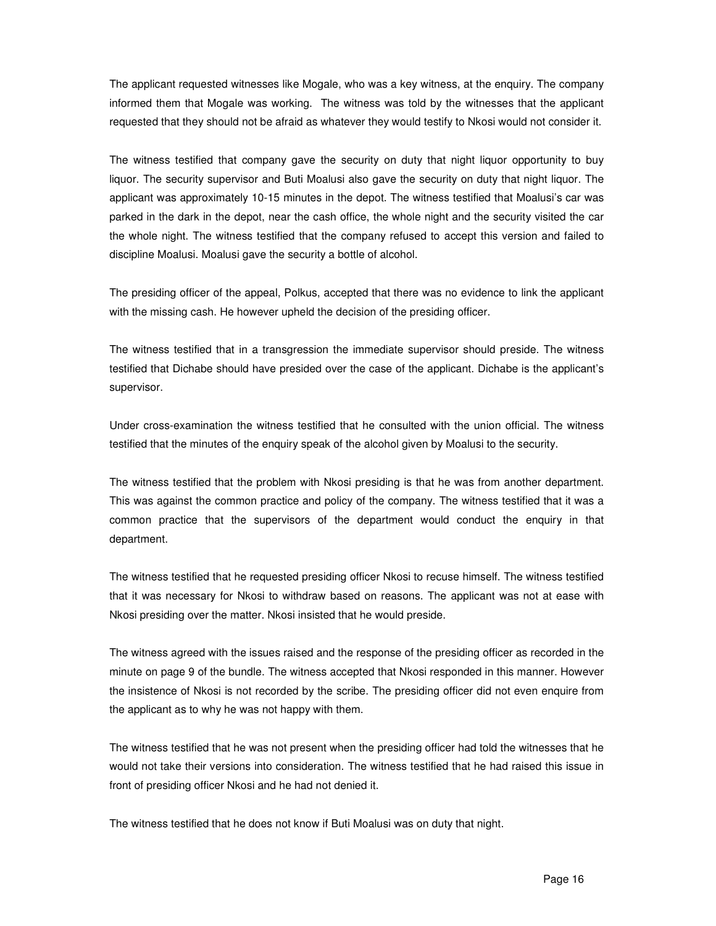The applicant requested witnesses like Mogale, who was a key witness, at the enquiry. The company informed them that Mogale was working. The witness was told by the witnesses that the applicant requested that they should not be afraid as whatever they would testify to Nkosi would not consider it.

The witness testified that company gave the security on duty that night liquor opportunity to buy liquor. The security supervisor and Buti Moalusi also gave the security on duty that night liquor. The applicant was approximately 10-15 minutes in the depot. The witness testified that Moalusi's car was parked in the dark in the depot, near the cash office, the whole night and the security visited the car the whole night. The witness testified that the company refused to accept this version and failed to discipline Moalusi. Moalusi gave the security a bottle of alcohol.

The presiding officer of the appeal, Polkus, accepted that there was no evidence to link the applicant with the missing cash. He however upheld the decision of the presiding officer.

The witness testified that in a transgression the immediate supervisor should preside. The witness testified that Dichabe should have presided over the case of the applicant. Dichabe is the applicant's supervisor.

Under cross-examination the witness testified that he consulted with the union official. The witness testified that the minutes of the enquiry speak of the alcohol given by Moalusi to the security.

The witness testified that the problem with Nkosi presiding is that he was from another department. This was against the common practice and policy of the company. The witness testified that it was a common practice that the supervisors of the department would conduct the enquiry in that department.

The witness testified that he requested presiding officer Nkosi to recuse himself. The witness testified that it was necessary for Nkosi to withdraw based on reasons. The applicant was not at ease with Nkosi presiding over the matter. Nkosi insisted that he would preside.

The witness agreed with the issues raised and the response of the presiding officer as recorded in the minute on page 9 of the bundle. The witness accepted that Nkosi responded in this manner. However the insistence of Nkosi is not recorded by the scribe. The presiding officer did not even enquire from the applicant as to why he was not happy with them.

The witness testified that he was not present when the presiding officer had told the witnesses that he would not take their versions into consideration. The witness testified that he had raised this issue in front of presiding officer Nkosi and he had not denied it.

The witness testified that he does not know if Buti Moalusi was on duty that night.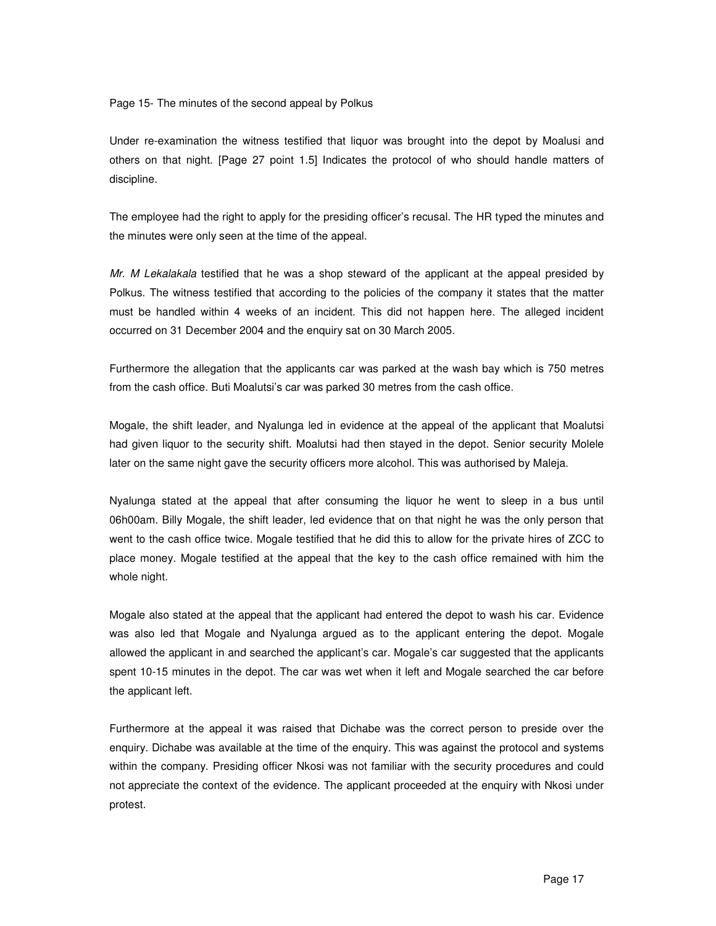Page 15- The minutes of the second appeal by Polkus

Under re-examination the witness testified that liquor was brought into the depot by Moalusi and others on that night. [Page 27 point 1.5] Indicates the protocol of who should handle matters of discipline.

The employee had the right to apply for the presiding officer's recusal. The HR typed the minutes and the minutes were only seen at the time of the appeal.

Mr. M Lekalakala testified that he was a shop steward of the applicant at the appeal presided by Polkus. The witness testified that according to the policies of the company it states that the matter must be handled within 4 weeks of an incident. This did not happen here. The alleged incident occurred on 31 December 2004 and the enquiry sat on 30 March 2005.

Furthermore the allegation that the applicants car was parked at the wash bay which is 750 metres from the cash office. Buti Moalutsi's car was parked 30 metres from the cash office.

Mogale, the shift leader, and Nyalunga led in evidence at the appeal of the applicant that Moalutsi had given liquor to the security shift. Moalutsi had then stayed in the depot. Senior security Molele later on the same night gave the security officers more alcohol. This was authorised by Maleja.

Nyalunga stated at the appeal that after consuming the liquor he went to sleep in a bus until 06h00am. Billy Mogale, the shift leader, led evidence that on that night he was the only person that went to the cash office twice. Mogale testified that he did this to allow for the private hires of ZCC to place money. Mogale testified at the appeal that the key to the cash office remained with him the whole night.

Mogale also stated at the appeal that the applicant had entered the depot to wash his car. Evidence was also led that Mogale and Nyalunga argued as to the applicant entering the depot. Mogale allowed the applicant in and searched the applicant's car. Mogale's car suggested that the applicants spent 10-15 minutes in the depot. The car was wet when it left and Mogale searched the car before the applicant left.

Furthermore at the appeal it was raised that Dichabe was the correct person to preside over the enquiry. Dichabe was available at the time of the enquiry. This was against the protocol and systems within the company. Presiding officer Nkosi was not familiar with the security procedures and could not appreciate the context of the evidence. The applicant proceeded at the enquiry with Nkosi under protest.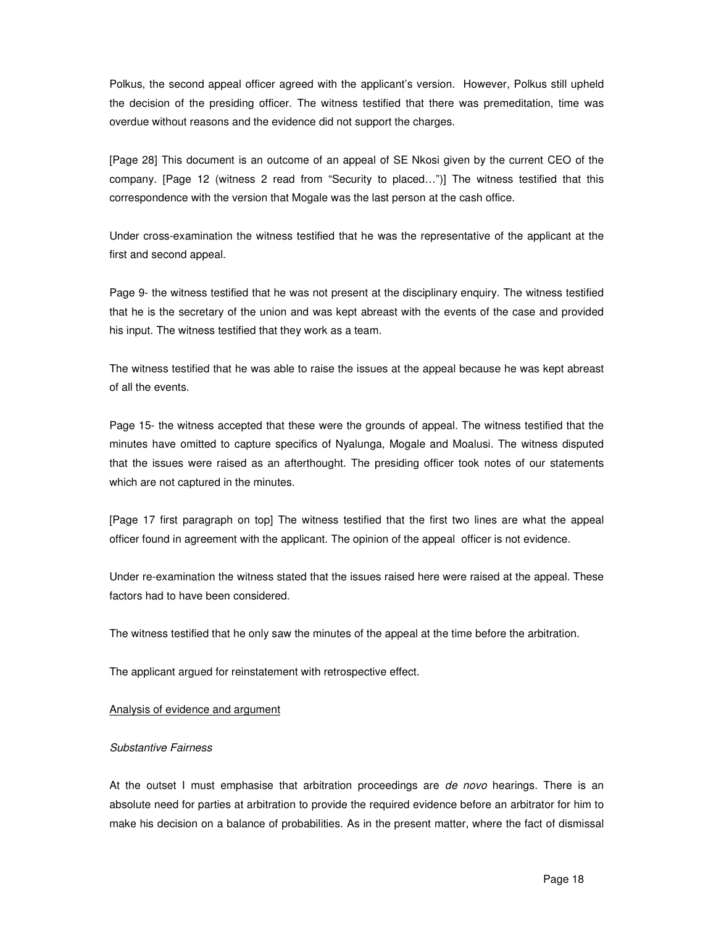Polkus, the second appeal officer agreed with the applicant's version. However, Polkus still upheld the decision of the presiding officer. The witness testified that there was premeditation, time was overdue without reasons and the evidence did not support the charges.

[Page 28] This document is an outcome of an appeal of SE Nkosi given by the current CEO of the company. [Page 12 (witness 2 read from "Security to placed…")] The witness testified that this correspondence with the version that Mogale was the last person at the cash office.

Under cross-examination the witness testified that he was the representative of the applicant at the first and second appeal.

Page 9- the witness testified that he was not present at the disciplinary enquiry. The witness testified that he is the secretary of the union and was kept abreast with the events of the case and provided his input. The witness testified that they work as a team.

The witness testified that he was able to raise the issues at the appeal because he was kept abreast of all the events.

Page 15- the witness accepted that these were the grounds of appeal. The witness testified that the minutes have omitted to capture specifics of Nyalunga, Mogale and Moalusi. The witness disputed that the issues were raised as an afterthought. The presiding officer took notes of our statements which are not captured in the minutes.

[Page 17 first paragraph on top] The witness testified that the first two lines are what the appeal officer found in agreement with the applicant. The opinion of the appeal officer is not evidence.

Under re-examination the witness stated that the issues raised here were raised at the appeal. These factors had to have been considered.

The witness testified that he only saw the minutes of the appeal at the time before the arbitration.

The applicant argued for reinstatement with retrospective effect.

## Analysis of evidence and argument

#### Substantive Fairness

At the outset I must emphasise that arbitration proceedings are *de novo* hearings. There is an absolute need for parties at arbitration to provide the required evidence before an arbitrator for him to make his decision on a balance of probabilities. As in the present matter, where the fact of dismissal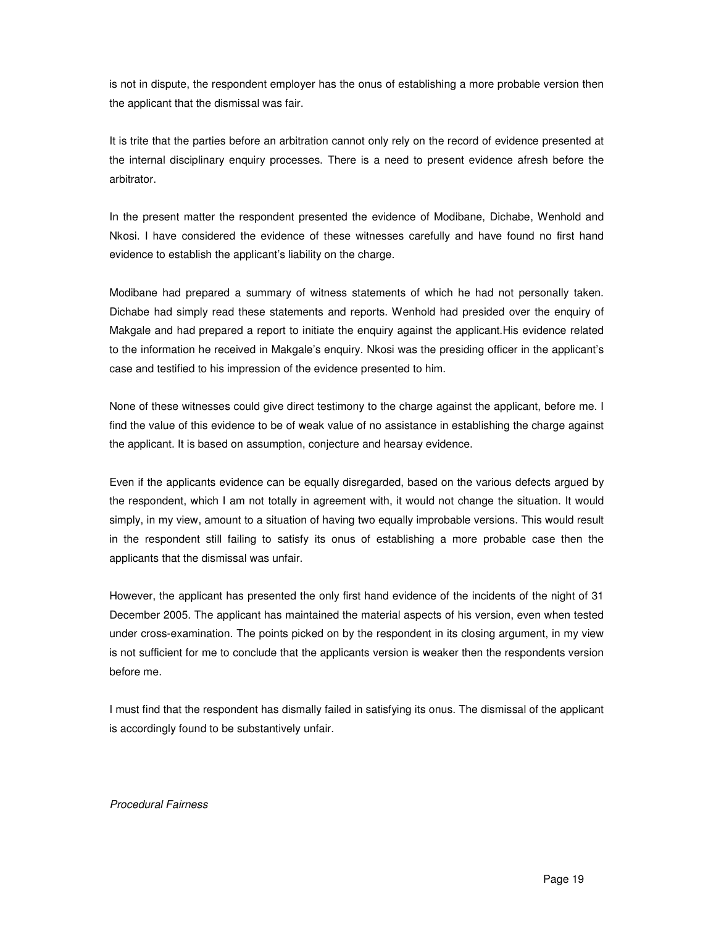is not in dispute, the respondent employer has the onus of establishing a more probable version then the applicant that the dismissal was fair.

It is trite that the parties before an arbitration cannot only rely on the record of evidence presented at the internal disciplinary enquiry processes. There is a need to present evidence afresh before the arbitrator.

In the present matter the respondent presented the evidence of Modibane, Dichabe, Wenhold and Nkosi. I have considered the evidence of these witnesses carefully and have found no first hand evidence to establish the applicant's liability on the charge.

Modibane had prepared a summary of witness statements of which he had not personally taken. Dichabe had simply read these statements and reports. Wenhold had presided over the enquiry of Makgale and had prepared a report to initiate the enquiry against the applicant.His evidence related to the information he received in Makgale's enquiry. Nkosi was the presiding officer in the applicant's case and testified to his impression of the evidence presented to him.

None of these witnesses could give direct testimony to the charge against the applicant, before me. I find the value of this evidence to be of weak value of no assistance in establishing the charge against the applicant. It is based on assumption, conjecture and hearsay evidence.

Even if the applicants evidence can be equally disregarded, based on the various defects argued by the respondent, which I am not totally in agreement with, it would not change the situation. It would simply, in my view, amount to a situation of having two equally improbable versions. This would result in the respondent still failing to satisfy its onus of establishing a more probable case then the applicants that the dismissal was unfair.

However, the applicant has presented the only first hand evidence of the incidents of the night of 31 December 2005. The applicant has maintained the material aspects of his version, even when tested under cross-examination. The points picked on by the respondent in its closing argument, in my view is not sufficient for me to conclude that the applicants version is weaker then the respondents version before me.

I must find that the respondent has dismally failed in satisfying its onus. The dismissal of the applicant is accordingly found to be substantively unfair.

#### Procedural Fairness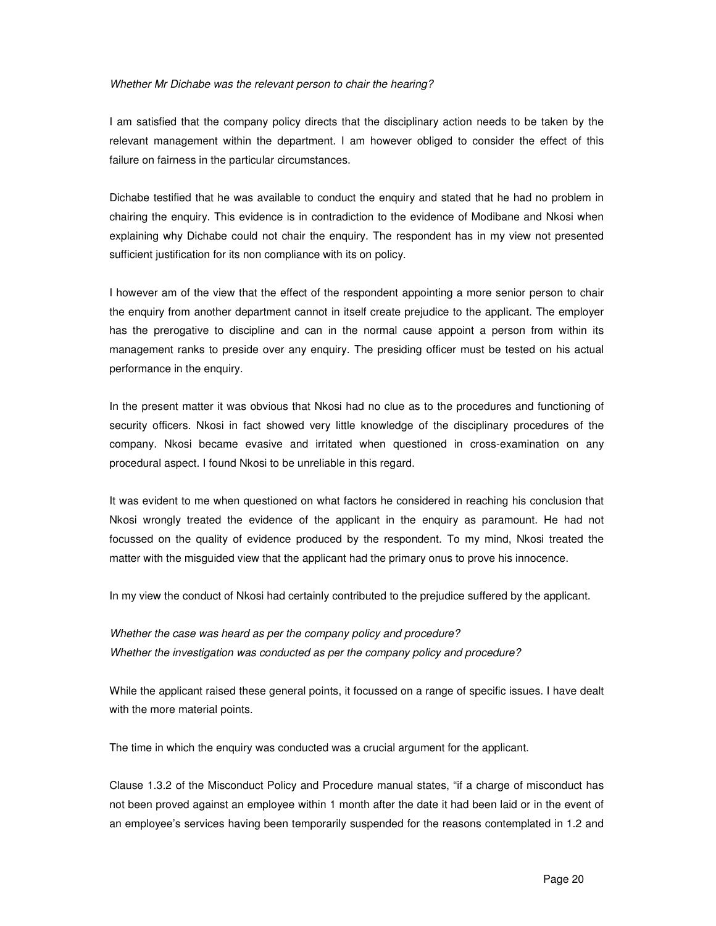#### Whether Mr Dichabe was the relevant person to chair the hearing?

I am satisfied that the company policy directs that the disciplinary action needs to be taken by the relevant management within the department. I am however obliged to consider the effect of this failure on fairness in the particular circumstances.

Dichabe testified that he was available to conduct the enquiry and stated that he had no problem in chairing the enquiry. This evidence is in contradiction to the evidence of Modibane and Nkosi when explaining why Dichabe could not chair the enquiry. The respondent has in my view not presented sufficient justification for its non compliance with its on policy.

I however am of the view that the effect of the respondent appointing a more senior person to chair the enquiry from another department cannot in itself create prejudice to the applicant. The employer has the prerogative to discipline and can in the normal cause appoint a person from within its management ranks to preside over any enquiry. The presiding officer must be tested on his actual performance in the enquiry.

In the present matter it was obvious that Nkosi had no clue as to the procedures and functioning of security officers. Nkosi in fact showed very little knowledge of the disciplinary procedures of the company. Nkosi became evasive and irritated when questioned in cross-examination on any procedural aspect. I found Nkosi to be unreliable in this regard.

It was evident to me when questioned on what factors he considered in reaching his conclusion that Nkosi wrongly treated the evidence of the applicant in the enquiry as paramount. He had not focussed on the quality of evidence produced by the respondent. To my mind, Nkosi treated the matter with the misguided view that the applicant had the primary onus to prove his innocence.

In my view the conduct of Nkosi had certainly contributed to the prejudice suffered by the applicant.

Whether the case was heard as per the company policy and procedure? Whether the investigation was conducted as per the company policy and procedure?

While the applicant raised these general points, it focussed on a range of specific issues. I have dealt with the more material points.

The time in which the enquiry was conducted was a crucial argument for the applicant.

Clause 1.3.2 of the Misconduct Policy and Procedure manual states, "if a charge of misconduct has not been proved against an employee within 1 month after the date it had been laid or in the event of an employee's services having been temporarily suspended for the reasons contemplated in 1.2 and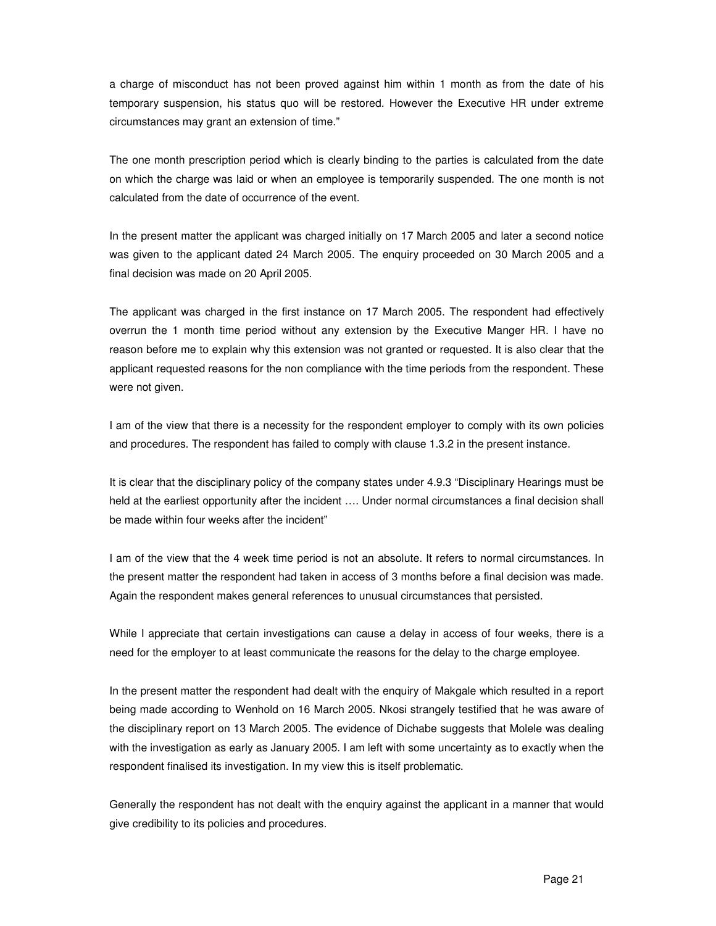a charge of misconduct has not been proved against him within 1 month as from the date of his temporary suspension, his status quo will be restored. However the Executive HR under extreme circumstances may grant an extension of time."

The one month prescription period which is clearly binding to the parties is calculated from the date on which the charge was laid or when an employee is temporarily suspended. The one month is not calculated from the date of occurrence of the event.

In the present matter the applicant was charged initially on 17 March 2005 and later a second notice was given to the applicant dated 24 March 2005. The enquiry proceeded on 30 March 2005 and a final decision was made on 20 April 2005.

The applicant was charged in the first instance on 17 March 2005. The respondent had effectively overrun the 1 month time period without any extension by the Executive Manger HR. I have no reason before me to explain why this extension was not granted or requested. It is also clear that the applicant requested reasons for the non compliance with the time periods from the respondent. These were not given.

I am of the view that there is a necessity for the respondent employer to comply with its own policies and procedures. The respondent has failed to comply with clause 1.3.2 in the present instance.

It is clear that the disciplinary policy of the company states under 4.9.3 "Disciplinary Hearings must be held at the earliest opportunity after the incident …. Under normal circumstances a final decision shall be made within four weeks after the incident"

I am of the view that the 4 week time period is not an absolute. It refers to normal circumstances. In the present matter the respondent had taken in access of 3 months before a final decision was made. Again the respondent makes general references to unusual circumstances that persisted.

While I appreciate that certain investigations can cause a delay in access of four weeks, there is a need for the employer to at least communicate the reasons for the delay to the charge employee.

In the present matter the respondent had dealt with the enquiry of Makgale which resulted in a report being made according to Wenhold on 16 March 2005. Nkosi strangely testified that he was aware of the disciplinary report on 13 March 2005. The evidence of Dichabe suggests that Molele was dealing with the investigation as early as January 2005. I am left with some uncertainty as to exactly when the respondent finalised its investigation. In my view this is itself problematic.

Generally the respondent has not dealt with the enquiry against the applicant in a manner that would give credibility to its policies and procedures.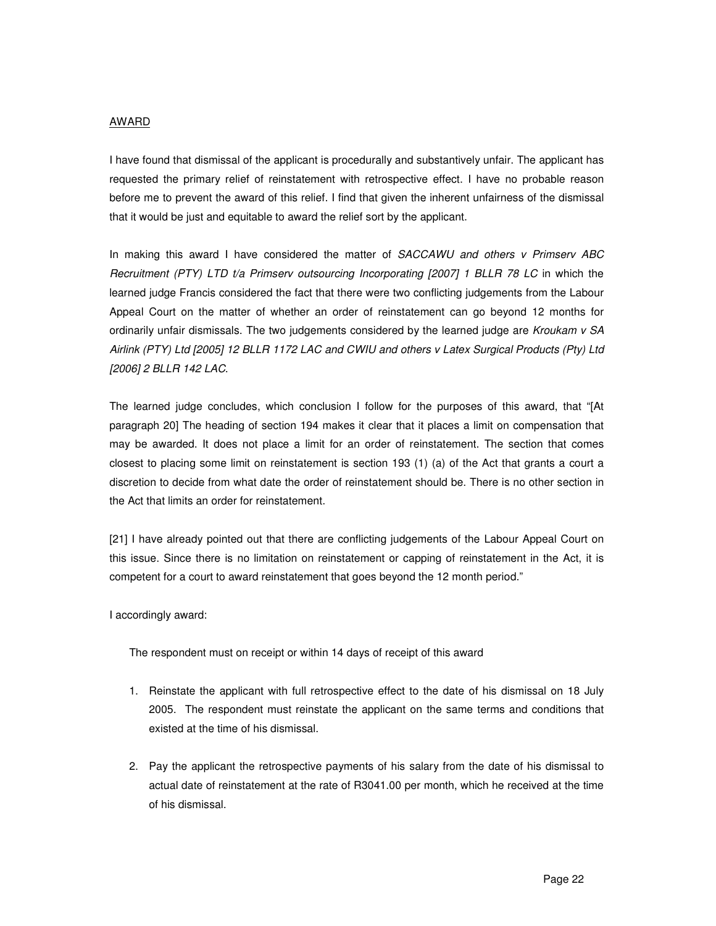#### AWARD

I have found that dismissal of the applicant is procedurally and substantively unfair. The applicant has requested the primary relief of reinstatement with retrospective effect. I have no probable reason before me to prevent the award of this relief. I find that given the inherent unfairness of the dismissal that it would be just and equitable to award the relief sort by the applicant.

In making this award I have considered the matter of SACCAWU and others v Primserv ABC Recruitment (PTY) LTD t/a Primserv outsourcing Incorporating [2007] 1 BLLR 78 LC in which the learned judge Francis considered the fact that there were two conflicting judgements from the Labour Appeal Court on the matter of whether an order of reinstatement can go beyond 12 months for ordinarily unfair dismissals. The two judgements considered by the learned judge are Kroukam  $v$  SA Airlink (PTY) Ltd [2005] 12 BLLR 1172 LAC and CWIU and others v Latex Surgical Products (Pty) Ltd [2006] 2 BLLR 142 LAC.

The learned judge concludes, which conclusion I follow for the purposes of this award, that "[At paragraph 20] The heading of section 194 makes it clear that it places a limit on compensation that may be awarded. It does not place a limit for an order of reinstatement. The section that comes closest to placing some limit on reinstatement is section 193 (1) (a) of the Act that grants a court a discretion to decide from what date the order of reinstatement should be. There is no other section in the Act that limits an order for reinstatement.

[21] I have already pointed out that there are conflicting judgements of the Labour Appeal Court on this issue. Since there is no limitation on reinstatement or capping of reinstatement in the Act, it is competent for a court to award reinstatement that goes beyond the 12 month period."

I accordingly award:

The respondent must on receipt or within 14 days of receipt of this award

- 1. Reinstate the applicant with full retrospective effect to the date of his dismissal on 18 July 2005. The respondent must reinstate the applicant on the same terms and conditions that existed at the time of his dismissal.
- 2. Pay the applicant the retrospective payments of his salary from the date of his dismissal to actual date of reinstatement at the rate of R3041.00 per month, which he received at the time of his dismissal.